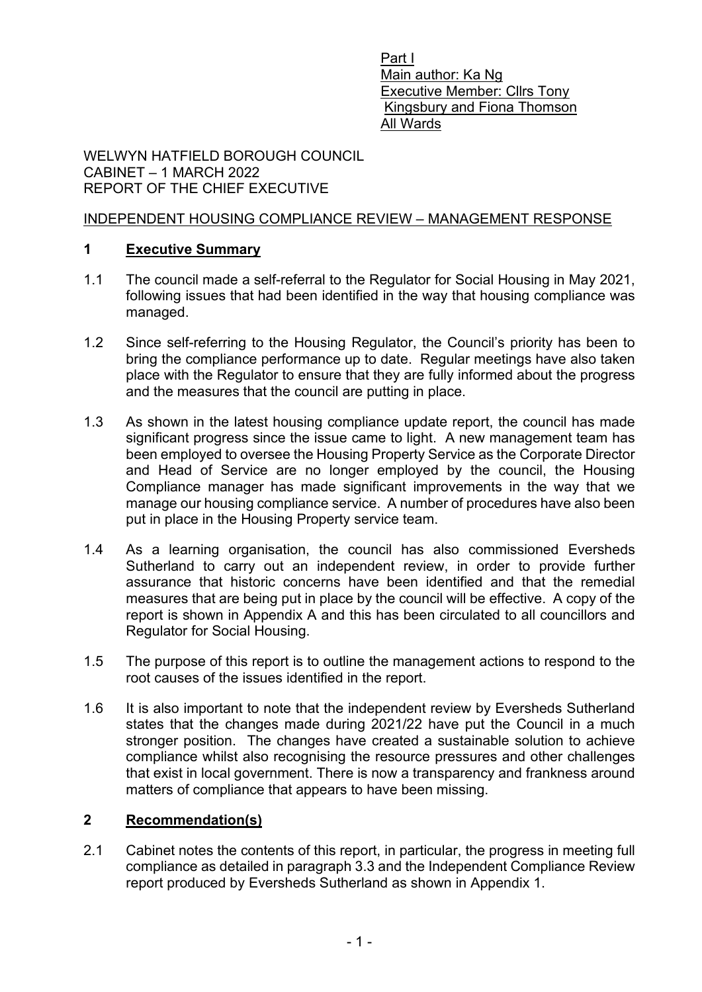Part I Main author: Ka Ng Executive Member: Cllrs Tony Kingsbury and Fiona Thomson All Wards

WELWYN HATFIELD BOROUGH COUNCIL CABINET – 1 MARCH 2022 REPORT OF THE CHIEF EXECUTIVE

#### INDEPENDENT HOUSING COMPLIANCE REVIEW – MANAGEMENT RESPONSE

#### **1 [Executive Summary](#page-0-0)**

- <span id="page-0-0"></span>1.1 The council made a self-referral to the Regulator for Social Housing in May 2021, following issues that had been identified in the way that housing compliance was managed.
- 1.2 Since self-referring to the Housing Regulator, the Council's priority has been to bring the compliance performance up to date. Regular meetings have also taken place with the Regulator to ensure that they are fully informed about the progress and the measures that the council are putting in place.
- 1.3 As shown in the latest housing compliance update report, the council has made significant progress since the issue came to light. A new management team has been employed to oversee the Housing Property Service as the Corporate Director and Head of Service are no longer employed by the council, the Housing Compliance manager has made significant improvements in the way that we manage our housing compliance service. A number of procedures have also been put in place in the Housing Property service team.
- 1.4 As a learning organisation, the council has also commissioned Eversheds Sutherland to carry out an independent review, in order to provide further assurance that historic concerns have been identified and that the remedial measures that are being put in place by the council will be effective. A copy of the report is shown in Appendix A and this has been circulated to all councillors and Regulator for Social Housing.
- 1.5 The purpose of this report is to outline the management actions to respond to the root causes of the issues identified in the report.
- 1.6 It is also important to note that the independent review by Eversheds Sutherland states that the changes made during 2021/22 have put the Council in a much stronger position. The changes have created a sustainable solution to achieve compliance whilst also recognising the resource pressures and other challenges that exist in local government. There is now a transparency and frankness around matters of compliance that appears to have been missing.

### <span id="page-0-1"></span>**2 [Recommendation\(s\)](#page-0-1)**

2.1 Cabinet notes the contents of this report, in particular, the progress in meeting full compliance as detailed in paragraph 3.3 and the Independent Compliance Review report produced by Eversheds Sutherland as shown in Appendix 1.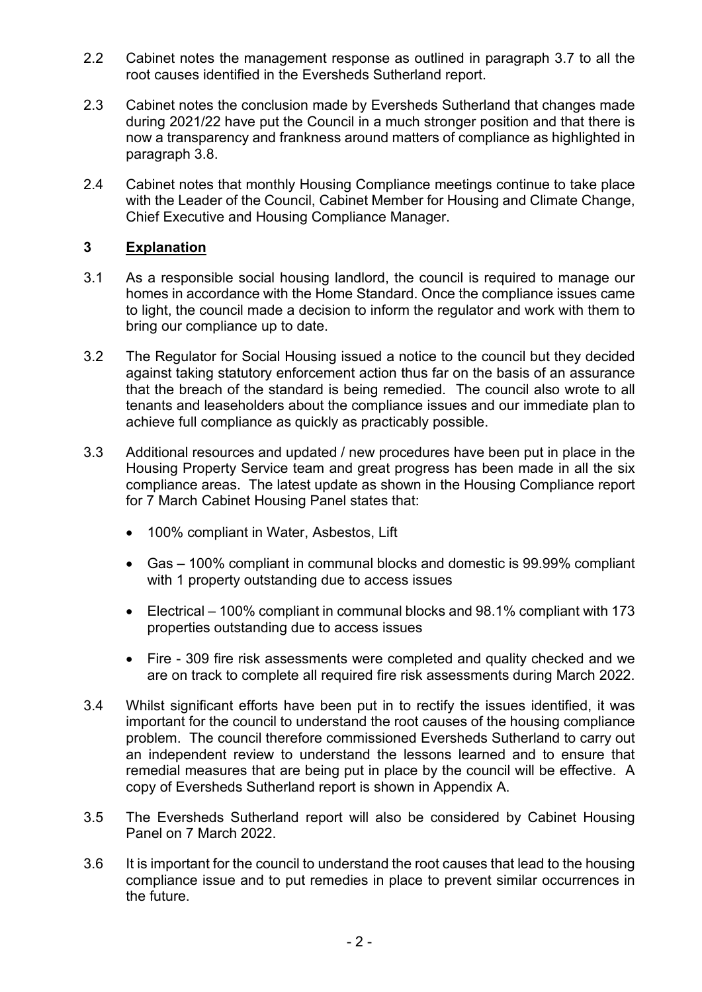- 2.2 Cabinet notes the management response as outlined in paragraph 3.7 to all the root causes identified in the Eversheds Sutherland report.
- 2.3 Cabinet notes the conclusion made by Eversheds Sutherland that changes made during 2021/22 have put the Council in a much stronger position and that there is now a transparency and frankness around matters of compliance as highlighted in paragraph 3.8.
- 2.4 Cabinet notes that monthly Housing Compliance meetings continue to take place with the Leader of the Council, Cabinet Member for Housing and Climate Change, Chief Executive and Housing Compliance Manager.

### <span id="page-1-0"></span>**3 [Explanation](#page-1-0)**

- 3.1 As a responsible social housing landlord, the council is required to manage our homes in accordance with the Home Standard. Once the compliance issues came to light, the council made a decision to inform the regulator and work with them to bring our compliance up to date.
- 3.2 The Regulator for Social Housing issued a notice to the council but they decided against taking statutory enforcement action thus far on the basis of an assurance that the breach of the standard is being remedied. The council also wrote to all tenants and leaseholders about the compliance issues and our immediate plan to achieve full compliance as quickly as practicably possible.
- 3.3 Additional resources and updated / new procedures have been put in place in the Housing Property Service team and great progress has been made in all the six compliance areas. The latest update as shown in the Housing Compliance report for 7 March Cabinet Housing Panel states that:
	- 100% compliant in Water, Asbestos, Lift
	- Gas 100% compliant in communal blocks and domestic is 99.99% compliant with 1 property outstanding due to access issues
	- Electrical 100% compliant in communal blocks and 98.1% compliant with 173 properties outstanding due to access issues
	- Fire 309 fire risk assessments were completed and quality checked and we are on track to complete all required fire risk assessments during March 2022.
- 3.4 Whilst significant efforts have been put in to rectify the issues identified, it was important for the council to understand the root causes of the housing compliance problem. The council therefore commissioned Eversheds Sutherland to carry out an independent review to understand the lessons learned and to ensure that remedial measures that are being put in place by the council will be effective. A copy of Eversheds Sutherland report is shown in Appendix A.
- 3.5 The Eversheds Sutherland report will also be considered by Cabinet Housing Panel on 7 March 2022.
- 3.6 It is important for the council to understand the root causes that lead to the housing compliance issue and to put remedies in place to prevent similar occurrences in the future.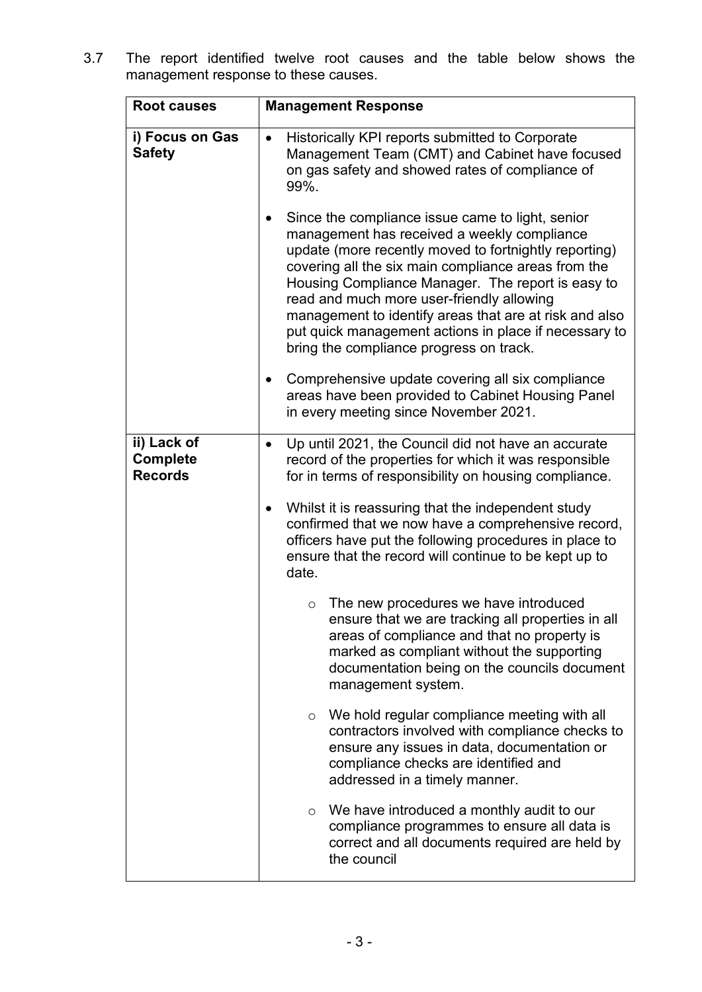3.7 The report identified twelve root causes and the table below shows the management response to these causes.

| <b>Root causes</b>                               | <b>Management Response</b>                                                                                                                                                                                                                                                                                                                                                                                                                                                      |  |
|--------------------------------------------------|---------------------------------------------------------------------------------------------------------------------------------------------------------------------------------------------------------------------------------------------------------------------------------------------------------------------------------------------------------------------------------------------------------------------------------------------------------------------------------|--|
| i) Focus on Gas<br><b>Safety</b>                 | Historically KPI reports submitted to Corporate<br>Management Team (CMT) and Cabinet have focused<br>on gas safety and showed rates of compliance of<br>99%.                                                                                                                                                                                                                                                                                                                    |  |
|                                                  | Since the compliance issue came to light, senior<br>management has received a weekly compliance<br>update (more recently moved to fortnightly reporting)<br>covering all the six main compliance areas from the<br>Housing Compliance Manager. The report is easy to<br>read and much more user-friendly allowing<br>management to identify areas that are at risk and also<br>put quick management actions in place if necessary to<br>bring the compliance progress on track. |  |
|                                                  | Comprehensive update covering all six compliance<br>areas have been provided to Cabinet Housing Panel<br>in every meeting since November 2021.                                                                                                                                                                                                                                                                                                                                  |  |
| ii) Lack of<br><b>Complete</b><br><b>Records</b> | Up until 2021, the Council did not have an accurate<br>record of the properties for which it was responsible<br>for in terms of responsibility on housing compliance.                                                                                                                                                                                                                                                                                                           |  |
|                                                  | Whilst it is reassuring that the independent study<br>confirmed that we now have a comprehensive record,<br>officers have put the following procedures in place to<br>ensure that the record will continue to be kept up to<br>date.                                                                                                                                                                                                                                            |  |
|                                                  | The new procedures we have introduced<br>$\circ$<br>ensure that we are tracking all properties in all<br>areas of compliance and that no property is<br>marked as compliant without the supporting<br>documentation being on the councils document<br>management system.                                                                                                                                                                                                        |  |
|                                                  | $\circ$ We hold regular compliance meeting with all<br>contractors involved with compliance checks to<br>ensure any issues in data, documentation or<br>compliance checks are identified and<br>addressed in a timely manner.                                                                                                                                                                                                                                                   |  |
|                                                  | $\circ$ We have introduced a monthly audit to our<br>compliance programmes to ensure all data is<br>correct and all documents required are held by<br>the council                                                                                                                                                                                                                                                                                                               |  |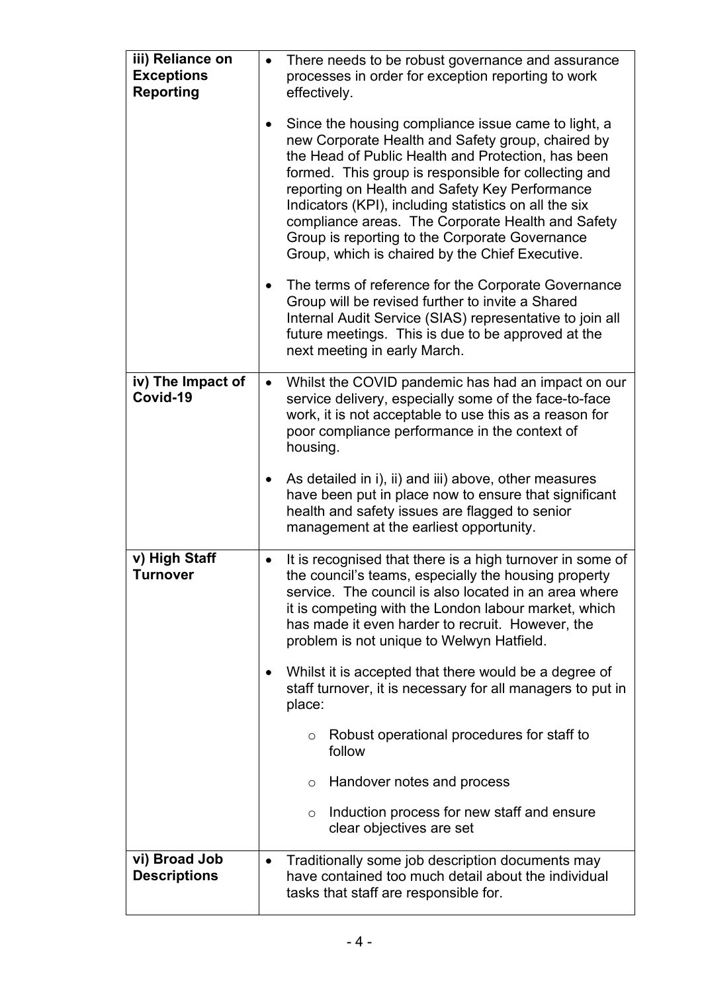| iii) Reliance on<br><b>Exceptions</b><br><b>Reporting</b> | $\bullet$ | There needs to be robust governance and assurance<br>processes in order for exception reporting to work<br>effectively.                                                                                                                                                                                                                                                                                                                                                                     |  |
|-----------------------------------------------------------|-----------|---------------------------------------------------------------------------------------------------------------------------------------------------------------------------------------------------------------------------------------------------------------------------------------------------------------------------------------------------------------------------------------------------------------------------------------------------------------------------------------------|--|
|                                                           |           | Since the housing compliance issue came to light, a<br>new Corporate Health and Safety group, chaired by<br>the Head of Public Health and Protection, has been<br>formed. This group is responsible for collecting and<br>reporting on Health and Safety Key Performance<br>Indicators (KPI), including statistics on all the six<br>compliance areas. The Corporate Health and Safety<br>Group is reporting to the Corporate Governance<br>Group, which is chaired by the Chief Executive. |  |
|                                                           |           | The terms of reference for the Corporate Governance<br>Group will be revised further to invite a Shared<br>Internal Audit Service (SIAS) representative to join all<br>future meetings. This is due to be approved at the<br>next meeting in early March.                                                                                                                                                                                                                                   |  |
| iv) The Impact of<br>Covid-19                             | $\bullet$ | Whilst the COVID pandemic has had an impact on our<br>service delivery, especially some of the face-to-face<br>work, it is not acceptable to use this as a reason for<br>poor compliance performance in the context of<br>housing.                                                                                                                                                                                                                                                          |  |
|                                                           |           | As detailed in i), ii) and iii) above, other measures<br>have been put in place now to ensure that significant<br>health and safety issues are flagged to senior<br>management at the earliest opportunity.                                                                                                                                                                                                                                                                                 |  |
| v) High Staff<br>Turnover                                 | ٠         | It is recognised that there is a high turnover in some of<br>the council's teams, especially the housing property<br>service. The council is also located in an area where<br>it is competing with the London labour market, which<br>has made it even harder to recruit. However, the<br>problem is not unique to Welwyn Hatfield.                                                                                                                                                         |  |
|                                                           | place:    | Whilst it is accepted that there would be a degree of<br>staff turnover, it is necessary for all managers to put in                                                                                                                                                                                                                                                                                                                                                                         |  |
|                                                           |           | Robust operational procedures for staff to<br>$\circ$<br>follow                                                                                                                                                                                                                                                                                                                                                                                                                             |  |
|                                                           |           | Handover notes and process<br>$\circ$                                                                                                                                                                                                                                                                                                                                                                                                                                                       |  |
|                                                           |           | Induction process for new staff and ensure<br>$\circ$<br>clear objectives are set                                                                                                                                                                                                                                                                                                                                                                                                           |  |
| vi) Broad Job<br><b>Descriptions</b>                      | $\bullet$ | Traditionally some job description documents may<br>have contained too much detail about the individual<br>tasks that staff are responsible for.                                                                                                                                                                                                                                                                                                                                            |  |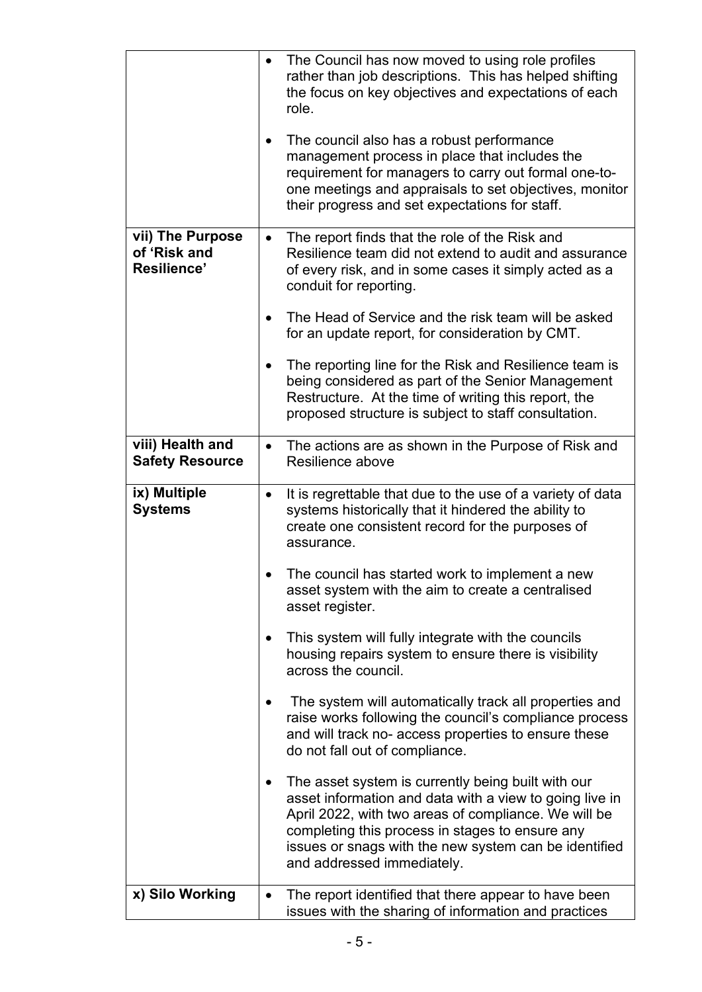|                                                 | The Council has now moved to using role profiles<br>rather than job descriptions. This has helped shifting<br>the focus on key objectives and expectations of each<br>role.                                                                                                                                     |
|-------------------------------------------------|-----------------------------------------------------------------------------------------------------------------------------------------------------------------------------------------------------------------------------------------------------------------------------------------------------------------|
|                                                 | The council also has a robust performance<br>management process in place that includes the<br>requirement for managers to carry out formal one-to-<br>one meetings and appraisals to set objectives, monitor<br>their progress and set expectations for staff.                                                  |
| vii) The Purpose<br>of 'Risk and<br>Resilience' | The report finds that the role of the Risk and<br>$\bullet$<br>Resilience team did not extend to audit and assurance<br>of every risk, and in some cases it simply acted as a<br>conduit for reporting.                                                                                                         |
|                                                 | The Head of Service and the risk team will be asked<br>for an update report, for consideration by CMT.                                                                                                                                                                                                          |
|                                                 | The reporting line for the Risk and Resilience team is<br>being considered as part of the Senior Management<br>Restructure. At the time of writing this report, the<br>proposed structure is subject to staff consultation.                                                                                     |
| viii) Health and<br><b>Safety Resource</b>      | The actions are as shown in the Purpose of Risk and<br>$\bullet$<br>Resilience above                                                                                                                                                                                                                            |
| ix) Multiple<br><b>Systems</b>                  | It is regrettable that due to the use of a variety of data<br>$\bullet$<br>systems historically that it hindered the ability to<br>create one consistent record for the purposes of<br>assurance.                                                                                                               |
|                                                 | The council has started work to implement a new<br>asset system with the aim to create a centralised<br>asset register.                                                                                                                                                                                         |
|                                                 | This system will fully integrate with the councils<br>housing repairs system to ensure there is visibility<br>across the council.                                                                                                                                                                               |
|                                                 | The system will automatically track all properties and<br>raise works following the council's compliance process<br>and will track no- access properties to ensure these<br>do not fall out of compliance.                                                                                                      |
|                                                 | The asset system is currently being built with our<br>asset information and data with a view to going live in<br>April 2022, with two areas of compliance. We will be<br>completing this process in stages to ensure any<br>issues or snags with the new system can be identified<br>and addressed immediately. |
| x) Silo Working                                 | The report identified that there appear to have been<br>$\bullet$<br>issues with the sharing of information and practices                                                                                                                                                                                       |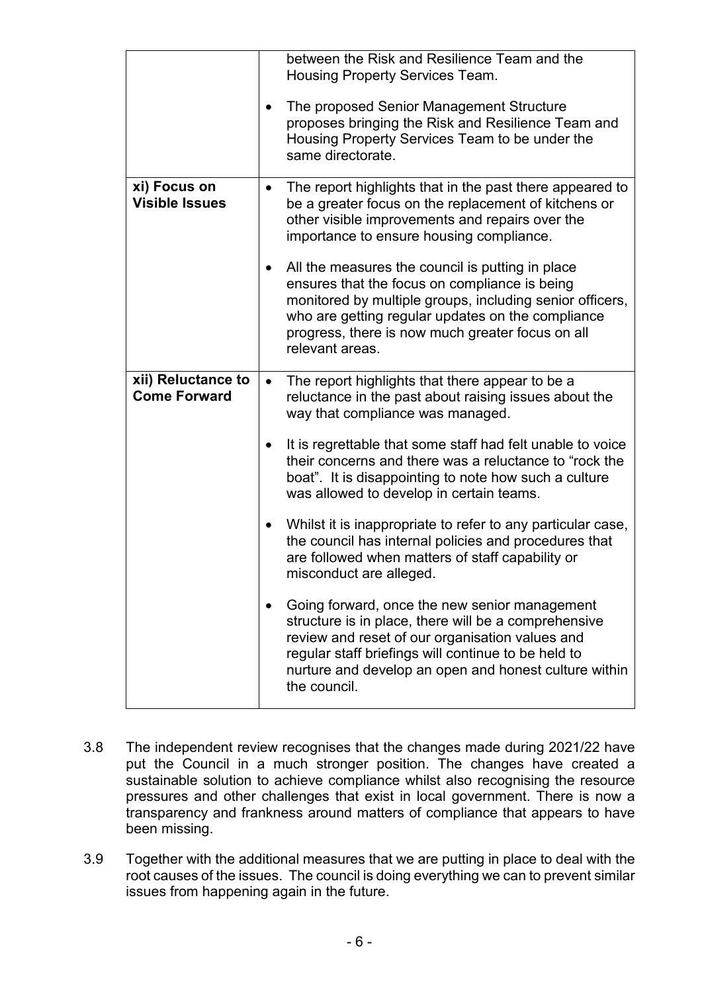|                                           | between the Risk and Resilience Team and the<br>Housing Property Services Team.<br>The proposed Senior Management Structure<br>proposes bringing the Risk and Resilience Team and<br>Housing Property Services Team to be under the<br>same directorate.                                  |
|-------------------------------------------|-------------------------------------------------------------------------------------------------------------------------------------------------------------------------------------------------------------------------------------------------------------------------------------------|
| xi) Focus on<br><b>Visible Issues</b>     | The report highlights that in the past there appeared to<br>$\bullet$<br>be a greater focus on the replacement of kitchens or<br>other visible improvements and repairs over the<br>importance to ensure housing compliance.                                                              |
|                                           | All the measures the council is putting in place<br>ensures that the focus on compliance is being<br>monitored by multiple groups, including senior officers,<br>who are getting regular updates on the compliance<br>progress, there is now much greater focus on all<br>relevant areas. |
| xii) Reluctance to<br><b>Come Forward</b> | The report highlights that there appear to be a<br>٠<br>reluctance in the past about raising issues about the<br>way that compliance was managed.                                                                                                                                         |
|                                           | It is regrettable that some staff had felt unable to voice<br>their concerns and there was a reluctance to "rock the<br>boat". It is disappointing to note how such a culture<br>was allowed to develop in certain teams.                                                                 |
|                                           | Whilst it is inappropriate to refer to any particular case,<br>the council has internal policies and procedures that<br>are followed when matters of staff capability or<br>misconduct are alleged.                                                                                       |
|                                           | Going forward, once the new senior management<br>structure is in place, there will be a comprehensive<br>review and reset of our organisation values and<br>regular staff briefings will continue to be held to<br>nurture and develop an open and honest culture within<br>the council.  |

- 3.8 The independent review recognises that the changes made during 2021/22 have put the Council in a much stronger position. The changes have created a sustainable solution to achieve compliance whilst also recognising the resource pressures and other challenges that exist in local government. There is now a transparency and frankness around matters of compliance that appears to have been missing.
- <span id="page-5-0"></span>3.9 Together with the additional measures that we are putting in place to deal with the root causes of the issues. The council is doing everything we can to prevent similar issues from happening again in the future.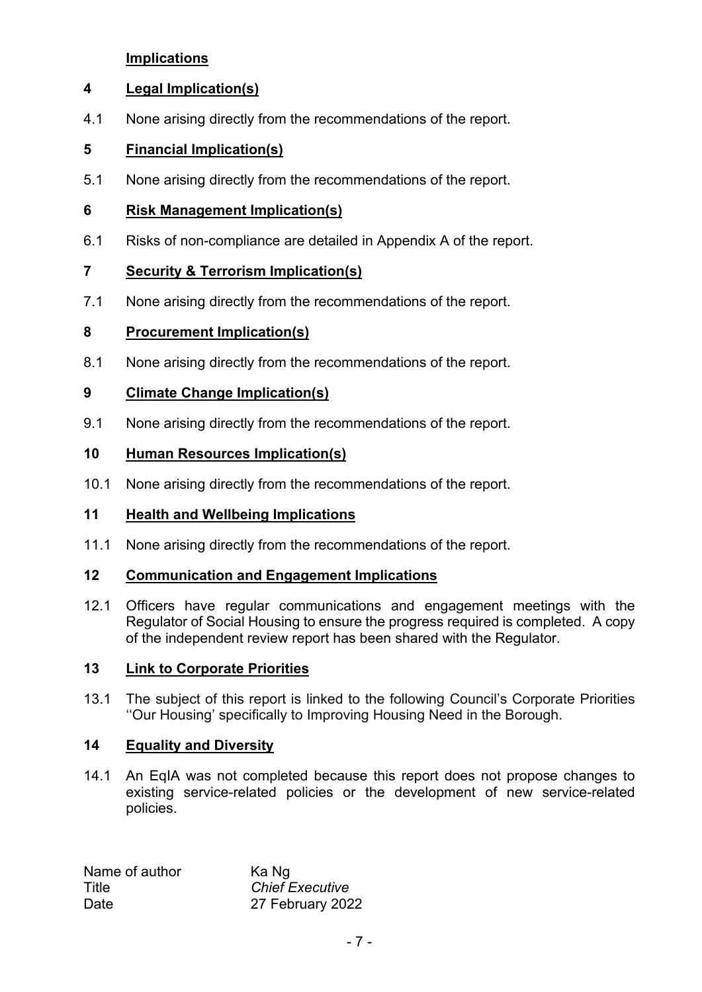### **[Implications](#page-5-0)**

### <span id="page-6-0"></span>**4 [Legal Implication\(s\)](#page-6-0)**

4.1 None arising directly from the recommendations of the report.

# <span id="page-6-1"></span>**5 [Financial Implication\(s\)](#page-6-1)**

5.1 None arising directly from the recommendations of the report.

### **6 Risk Management Implication(s)**

6.1 Risks of non-compliance are detailed in Appendix A of the report.

# <span id="page-6-2"></span>**7 [Security & Terrorism](#page-6-2) Implication(s)**

7.1 None arising directly from the recommendations of the report.

# **8 [Procurement Implication\(s\)](#page-6-2)**

8.1 None arising directly from the recommendations of the report.

# **9 [Climate Change Implication\(s\)](#page-6-2)**

9.1 None arising directly from the recommendations of the report.

# **10 Human Resources Implication(s)**

10.1 None arising directly from the recommendations of the report.

### **11 Health and Wellbeing Implications**

11.1 None arising directly from the recommendations of the report.

### **12 Communication and Engagement Implications**

12.1 Officers have regular communications and engagement meetings with the Regulator of Social Housing to ensure the progress required is completed. A copy of the independent review report has been shared with the Regulator.

### **13 Link to Corporate Priorities**

13.1 The subject of this report is linked to the following Council's Corporate Priorities ''Our Housing' specifically to Improving Housing Need in the Borough.

### <span id="page-6-3"></span>**14 [Equality and Diversity](#page-6-3)**

14.1 An EqIA was not completed because this report does not propose changes to existing service-related policies or the development of new service-related policies.

| Name of author | Ka Ng                  |
|----------------|------------------------|
| Title          | <b>Chief Executive</b> |
| Date           | 27 February 2022       |